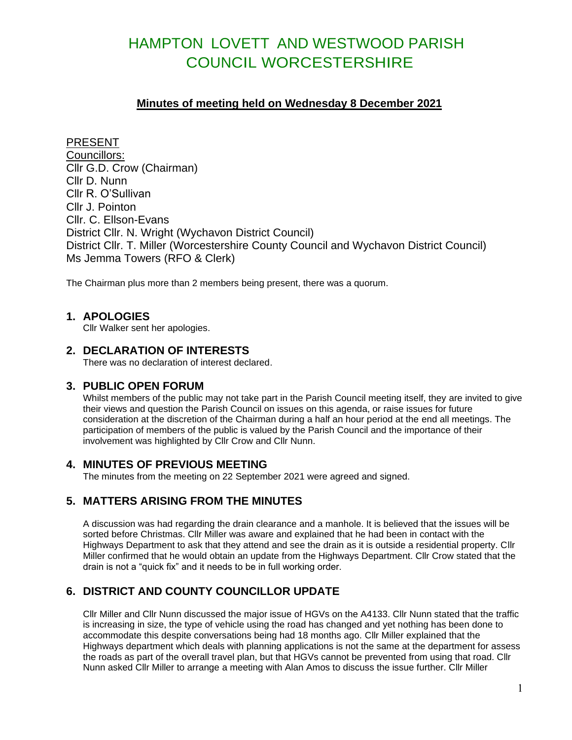# HAMPTON LOVETT AND WESTWOOD PARISH COUNCIL WORCESTERSHIRE

## **Minutes of meeting held on Wednesday 8 December 2021**

PRESENT Councillors: Cllr G.D. Crow (Chairman) Cllr D. Nunn Cllr R. O'Sullivan Cllr J. Pointon Cllr. C. Ellson-Evans District Cllr. N. Wright (Wychavon District Council) District Cllr. T. Miller (Worcestershire County Council and Wychavon District Council) Ms Jemma Towers (RFO & Clerk)

The Chairman plus more than 2 members being present, there was a quorum.

### **1. APOLOGIES**

Cllr Walker sent her apologies.

## **2. DECLARATION OF INTERESTS**

There was no declaration of interest declared.

### **3. PUBLIC OPEN FORUM**

Whilst members of the public may not take part in the Parish Council meeting itself, they are invited to give their views and question the Parish Council on issues on this agenda, or raise issues for future consideration at the discretion of the Chairman during a half an hour period at the end all meetings. The participation of members of the public is valued by the Parish Council and the importance of their involvement was highlighted by Cllr Crow and Cllr Nunn.

### **4. MINUTES OF PREVIOUS MEETING**

The minutes from the meeting on 22 September 2021 were agreed and signed.

# **5. MATTERS ARISING FROM THE MINUTES**

A discussion was had regarding the drain clearance and a manhole. It is believed that the issues will be sorted before Christmas. Cllr Miller was aware and explained that he had been in contact with the Highways Department to ask that they attend and see the drain as it is outside a residential property. Cllr Miller confirmed that he would obtain an update from the Highways Department. Cllr Crow stated that the drain is not a "quick fix" and it needs to be in full working order.

# **6. DISTRICT AND COUNTY COUNCILLOR UPDATE**

Cllr Miller and Cllr Nunn discussed the major issue of HGVs on the A4133. Cllr Nunn stated that the traffic is increasing in size, the type of vehicle using the road has changed and yet nothing has been done to accommodate this despite conversations being had 18 months ago. Cllr Miller explained that the Highways department which deals with planning applications is not the same at the department for assess the roads as part of the overall travel plan, but that HGVs cannot be prevented from using that road. Cllr Nunn asked Cllr Miller to arrange a meeting with Alan Amos to discuss the issue further. Cllr Miller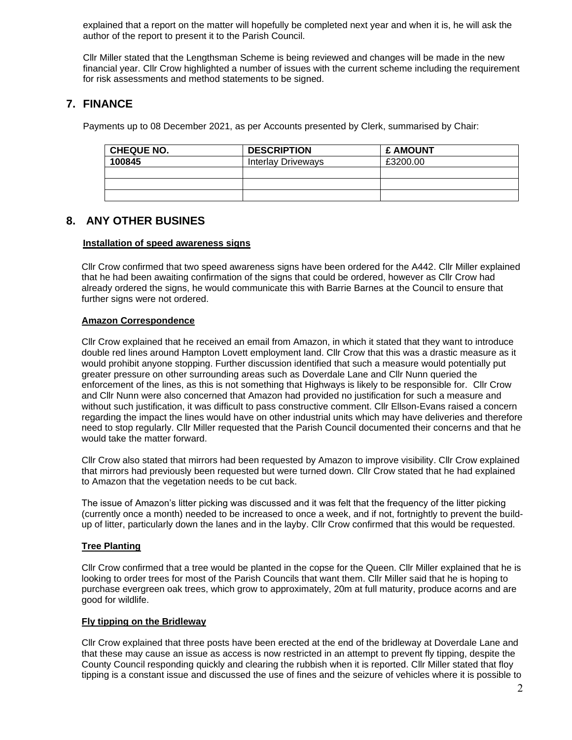explained that a report on the matter will hopefully be completed next year and when it is, he will ask the author of the report to present it to the Parish Council.

Cllr Miller stated that the Lengthsman Scheme is being reviewed and changes will be made in the new financial year. Cllr Crow highlighted a number of issues with the current scheme including the requirement for risk assessments and method statements to be signed.

# **7. FINANCE**

Payments up to 08 December 2021, as per Accounts presented by Clerk, summarised by Chair:

| <b>CHEQUE NO.</b> | <b>DESCRIPTION</b>        | <b>£ AMOUNT</b> |
|-------------------|---------------------------|-----------------|
| 100845            | <b>Interlay Driveways</b> | £3200.00        |
|                   |                           |                 |
|                   |                           |                 |
|                   |                           |                 |

## **8. ANY OTHER BUSINES**

#### **Installation of speed awareness signs**

Cllr Crow confirmed that two speed awareness signs have been ordered for the A442. Cllr Miller explained that he had been awaiting confirmation of the signs that could be ordered, however as Cllr Crow had already ordered the signs, he would communicate this with Barrie Barnes at the Council to ensure that further signs were not ordered.

#### **Amazon Correspondence**

Cllr Crow explained that he received an email from Amazon, in which it stated that they want to introduce double red lines around Hampton Lovett employment land. Cllr Crow that this was a drastic measure as it would prohibit anyone stopping. Further discussion identified that such a measure would potentially put greater pressure on other surrounding areas such as Doverdale Lane and Cllr Nunn queried the enforcement of the lines, as this is not something that Highways is likely to be responsible for. Cllr Crow and Cllr Nunn were also concerned that Amazon had provided no justification for such a measure and without such justification, it was difficult to pass constructive comment. Cllr Ellson-Evans raised a concern regarding the impact the lines would have on other industrial units which may have deliveries and therefore need to stop regularly. Cllr Miller requested that the Parish Council documented their concerns and that he would take the matter forward.

Cllr Crow also stated that mirrors had been requested by Amazon to improve visibility. Cllr Crow explained that mirrors had previously been requested but were turned down. Cllr Crow stated that he had explained to Amazon that the vegetation needs to be cut back.

The issue of Amazon's litter picking was discussed and it was felt that the frequency of the litter picking (currently once a month) needed to be increased to once a week, and if not, fortnightly to prevent the buildup of litter, particularly down the lanes and in the layby. Cllr Crow confirmed that this would be requested.

#### **Tree Planting**

Cllr Crow confirmed that a tree would be planted in the copse for the Queen. Cllr Miller explained that he is looking to order trees for most of the Parish Councils that want them. Cllr Miller said that he is hoping to purchase evergreen oak trees, which grow to approximately, 20m at full maturity, produce acorns and are good for wildlife.

#### **Fly tipping on the Bridleway**

Cllr Crow explained that three posts have been erected at the end of the bridleway at Doverdale Lane and that these may cause an issue as access is now restricted in an attempt to prevent fly tipping, despite the County Council responding quickly and clearing the rubbish when it is reported. Cllr Miller stated that floy tipping is a constant issue and discussed the use of fines and the seizure of vehicles where it is possible to